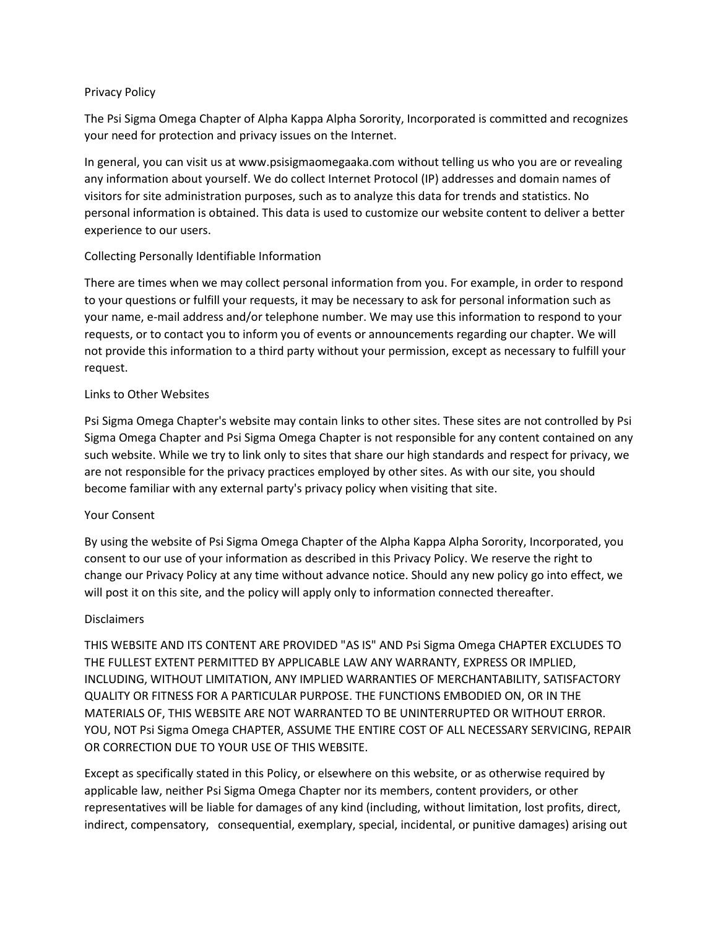# Privacy Policy

The Psi Sigma Omega Chapter of Alpha Kappa Alpha Sorority, Incorporated is committed and recognizes your need for protection and privacy issues on the Internet.

In general, you can visit us at www.psisigmaomegaaka.com without telling us who you are or revealing any information about yourself. We do collect Internet Protocol (IP) addresses and domain names of visitors for site administration purposes, such as to analyze this data for trends and statistics. No personal information is obtained. This data is used to customize our website content to deliver a better experience to our users.

# Collecting Personally Identifiable Information

There are times when we may collect personal information from you. For example, in order to respond to your questions or fulfill your requests, it may be necessary to ask for personal information such as your name, e-mail address and/or telephone number. We may use this information to respond to your requests, or to contact you to inform you of events or announcements regarding our chapter. We will not provide this information to a third party without your permission, except as necessary to fulfill your request.

# Links to Other Websites

Psi Sigma Omega Chapter's website may contain links to other sites. These sites are not controlled by Psi Sigma Omega Chapter and Psi Sigma Omega Chapter is not responsible for any content contained on any such website. While we try to link only to sites that share our high standards and respect for privacy, we are not responsible for the privacy practices employed by other sites. As with our site, you should become familiar with any external party's privacy policy when visiting that site.

# Your Consent

By using the website of Psi Sigma Omega Chapter of the Alpha Kappa Alpha Sorority, Incorporated, you consent to our use of your information as described in this Privacy Policy. We reserve the right to change our Privacy Policy at any time without advance notice. Should any new policy go into effect, we will post it on this site, and the policy will apply only to information connected thereafter.

# Disclaimers

THIS WEBSITE AND ITS CONTENT ARE PROVIDED "AS IS" AND Psi Sigma Omega CHAPTER EXCLUDES TO THE FULLEST EXTENT PERMITTED BY APPLICABLE LAW ANY WARRANTY, EXPRESS OR IMPLIED, INCLUDING, WITHOUT LIMITATION, ANY IMPLIED WARRANTIES OF MERCHANTABILITY, SATISFACTORY QUALITY OR FITNESS FOR A PARTICULAR PURPOSE. THE FUNCTIONS EMBODIED ON, OR IN THE MATERIALS OF, THIS WEBSITE ARE NOT WARRANTED TO BE UNINTERRUPTED OR WITHOUT ERROR. YOU, NOT Psi Sigma Omega CHAPTER, ASSUME THE ENTIRE COST OF ALL NECESSARY SERVICING, REPAIR OR CORRECTION DUE TO YOUR USE OF THIS WEBSITE.

Except as specifically stated in this Policy, or elsewhere on this website, or as otherwise required by applicable law, neither Psi Sigma Omega Chapter nor its members, content providers, or other representatives will be liable for damages of any kind (including, without limitation, lost profits, direct, indirect, compensatory, consequential, exemplary, special, incidental, or punitive damages) arising out